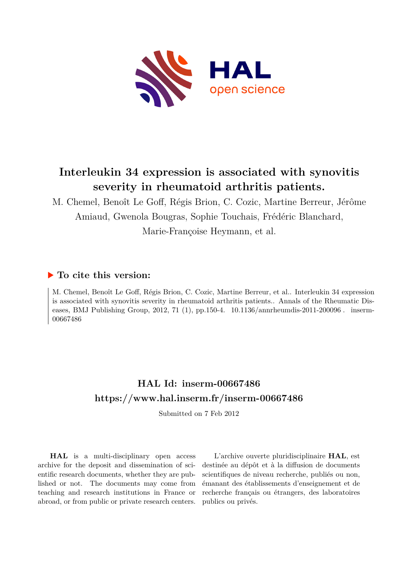

# **Interleukin 34 expression is associated with synovitis severity in rheumatoid arthritis patients.**

M. Chemel, Benoît Le Goff, Régis Brion, C. Cozic, Martine Berreur, Jérôme Amiaud, Gwenola Bougras, Sophie Touchais, Frédéric Blanchard, Marie-Françoise Heymann, et al.

## **To cite this version:**

M. Chemel, Benoît Le Goff, Régis Brion, C. Cozic, Martine Berreur, et al.. Interleukin 34 expression is associated with synovitis severity in rheumatoid arthritis patients.. Annals of the Rheumatic Diseases, BMJ Publishing Group, 2012, 71 (1), pp.150-4. 10.1136/annrheumdis-2011-200096. inserm-00667486

## **HAL Id: inserm-00667486 <https://www.hal.inserm.fr/inserm-00667486>**

Submitted on 7 Feb 2012

**HAL** is a multi-disciplinary open access archive for the deposit and dissemination of scientific research documents, whether they are published or not. The documents may come from teaching and research institutions in France or abroad, or from public or private research centers.

L'archive ouverte pluridisciplinaire **HAL**, est destinée au dépôt et à la diffusion de documents scientifiques de niveau recherche, publiés ou non, émanant des établissements d'enseignement et de recherche français ou étrangers, des laboratoires publics ou privés.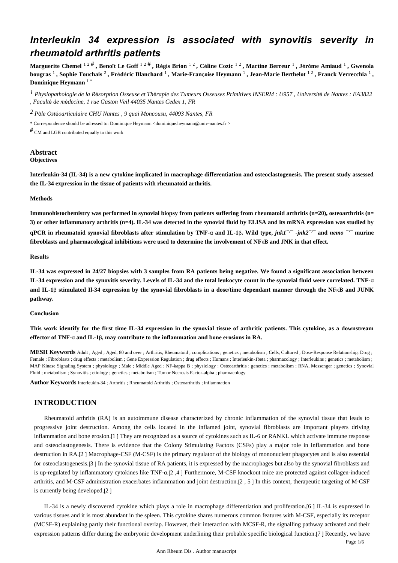## *Interleukin 34 expression is associated with synovitis severity in rheumatoid arthritis patients*

**Marguerite Chemel** 1 2 # **, Beno**î**t Le Goff** 1 2 # **, R**é**gis Brion** 1 2 **, C**é**line Cozic** 1 2 **, Martine Berreur** <sup>1</sup> **, J**é**r**ô**me Amiaud** <sup>1</sup> **, Gwenola bougras** <sup>1</sup> **, Sophie Touchais** <sup>2</sup> **, Fr**é**d**é**ric Blanchard** <sup>1</sup> **, Marie-Fran**ç**oise Heymann** <sup>1</sup> **, Jean-Marie Berthelot** 1 2 **, Franck Verrecchia** <sup>1</sup> **, Dominique Heymann** 1 \*

*Physiopathologie de la R sorption Osseuse et Th rapie des Tumeurs Osseuses Primitives 1* <sup>é</sup> <sup>é</sup> *INSERM : U957 , Universit*é *de Nantes : EA3822 , Facult*é *de m*é*decine, 1 rue Gaston Veil 44035 Nantes Cedex 1, FR*

*P le Ost oarticulaire 2* <sup>ô</sup> <sup>é</sup> *CHU Nantes , 9 quai Moncousu, 44093 Nantes, FR*

\* Correspondence should be adressed to: Dominique Heymann <dominique.heymann@univ-nantes.fr >

 $#$  CM and LGB contributed equally to this work

## **Abstract Objectives**

**Interleukin-34 (IL-34) is a new cytokine implicated in macrophage differentiation and osteoclastogenesis. The present study assessed the IL-34 expression in the tissue of patients with rheumatoid arthritis.**

### **Methods**

**Immunohistochemistry was performed in synovial biopsy from patients suffering from rheumatoid arthritis (n**=**20), osteoarthritis (n**= **3) or other inflammatory arthritis (n**=**4). IL-34 was detected in the synovial fluid by ELISA and its mRNA expression was studied by qPCR** in rheumatoid synovial fibroblasts after stimulation by TNF-α and IL-1β, Wild type,  $ink1^{-/-}$  - $ink2^{-/-}$  and  $nemo^{-/-}$  murine **fibroblasts and pharmacological inhibitions were used to determine the involvement of NF**κ**B and JNK in that effect.**

## **Results**

**IL-34 was expressed in 24/27 biopsies with 3 samples from RA patients being negative. We found a significant association between IL-34 expression and the synovitis severity. Levels of IL-34 and the total leukocyte count in the synovial fluid were correlated. TNF-**α **and IL-1**β **stimulated Il-34 expression by the synovial fibroblasts in a dose/time dependant manner through the NF**κ**B and JUNK pathway.**

## **Conclusion**

**This work identify for the first time IL-34 expression in the synovial tissue of arthritic patients. This cytokine, as a downstream effector of TNF-**α **and IL-1**β**, may contribute to the inflammation and bone erosions in RA.**

**MESH Keywords** Adult ; Aged ; Aged, 80 and over ; Arthritis, Rheumatoid ; complications ; genetics ; metabolism ; Cells, Cultured ; Dose-Response Relationship, Drug ; Female ; Fibroblasts ; drug effects ; metabolism ; Gene Expression Regulation ; drug effects ; Humans ; Interleukin-1beta ; pharmacology ; Interleukins ; genetics ; metabolism ; MAP Kinase Signaling System ; physiology ; Male ; Middle Aged ; NF-kappa B ; physiology ; Osteoarthritis ; genetics ; metabolism ; RNA, Messenger ; genetics ; Synovial Fluid ; metabolism ; Synovitis ; etiology ; genetics ; metabolism ; Tumor Necrosis Factor-alpha ; pharmacology

**Author Keywords** Interleukin-34 ; Arthritis ; Rheumatoid Arthritis ; Osteoarthritis ; inflammation

## **INTRODUCTION**

Rheumatoid arthritis (RA) is an autoimmune disease characterized by chronic inflammation of the synovial tissue that leads to progressive joint destruction. Among the cells located in the inflamed joint, synovial fibroblasts are important players driving inflammation and bone erosion.[1 ] They are recognized as a source of cytokines such as IL-6 or RANKL which activate immune response and osteoclastogenesis. There is evidence that the Colony Stimulating Factors (CSFs) play a major role in inflammation and bone destruction in RA.[2 ] Macrophage-CSF (M-CSF) is the primary regulator of the biology of mononuclear phagocytes and is also essential for osteoclastogenesis.[3 ] In the synovial tissue of RA patients, it is expressed by the macrophages but also by the synovial fibroblasts and is up-regulated by inflammatory cytokines like TNF-α.[2 ,4 ] Furthermore, M-CSF knockout mice are protected against collagen-induced arthritis, and M-CSF administration exacerbates inflammation and joint destruction.[2 , 5 ] In this context, therapeutic targeting of M-CSF is currently being developed.[2 ]

IL-34 is a newly discovered cytokine which plays a role in macrophage differentiation and proliferation.[6 ] IL-34 is expressed in various tissues and it is most abundant in the spleen. This cytokine shares numerous common features with M-CSF, especially its receptor (MCSF-R) explaining partly their functional overlap. However, their interaction with MCSF-R, the signalling pathway activated and their expression patterns differ during the embryonic development underlining their probable specific biological function.[7 ] Recently, we have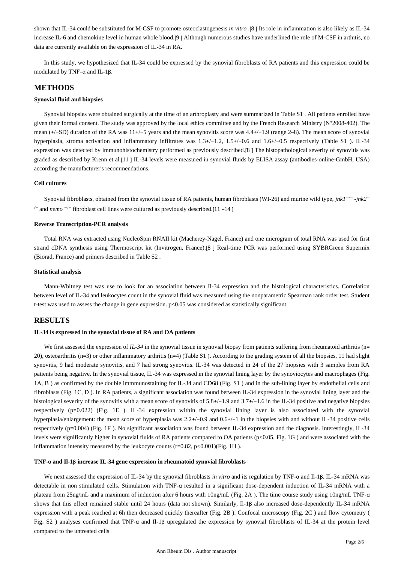shown that IL-34 could be substituted for M-CSF to promote osteoclastogenesis *in vitro* .[8 ] Its role in inflammation is also likely as IL-34 increase IL-6 and chemokine level in human whole blood.[9 ] Although numerous studies have underlined the role of M-CSF in arthitis, no data are currently available on the expression of IL-34 in RA.

In this study, we hypothesized that IL-34 could be expressed by the synovial fibroblasts of RA patients and this expression could be modulated by TNF–α and IL-1β.

## **METHODS**

## **Synovial fluid and biopsies**

Synovial biopsies were obtained surgically at the time of an arthroplasty and were summarized in Table S1 . All patients enrolled have given their formal consent. The study was approved by the local ethics committee and by the French Research Ministry (N°2008-402). The mean (+/−SD) duration of the RA was 11+/−5 years and the mean synovitis score was 4.4+/−1.9 (range 2–8). The mean score of synovial hyperplasia, stroma activation and inflammatory infiltrates was 1.3+/−1.2, 1.5+/−0.6 and 1.6+/−0.5 respectively (Table S1 ). IL-34 expression was detected by immunohistochemistry performed as previously described.[8 ] The histopathological severity of synovitis was graded as described by Krenn et al.[11 ] IL-34 levels were measured in synovial fluids by ELISA assay (antibodies-online-GmbH, USA) according the manufacturer's recommendations.

### **Cell cultures**

Synovial fibroblasts, obtained from the synovial tissue of RA patients, human fibroblasts (WI-26) and murine wild type, *jnk1* - −*/*− *jnk2*− and fibroblast cell lines were cultured as previously described. */*− *nemo* −/− [11 –14 ]

## **Reverse Transcription-PCR analysis**

Total RNA was extracted using NucleoSpin RNAII kit (Macherey-Nagel, France) and one microgram of total RNA was used for first strand cDNA synthesis using Thermoscript kit (Invitrogen, France).[8 ] Real-time PCR was performed using SYBRGreen Supermix (Biorad, France) and primers described in Table S2 .

### **Statistical analysis**

Mann-Whitney test was use to look for an association between Il-34 expression and the histological characteristics. Correlation between level of IL-34 and leukocytes count in the synovial fluid was measured using the nonparametric Spearman rank order test. Student t-test was used to assess the change in gene expression.  $p<0.05$  was considered as statistically significant.

## **RESULTS**

## **IL-34 is expressed in the synovial tissue of RA and OA patients**

We first assessed the expression of *IL-34* in the synovial tissue in synovial biopsy from patients suffering from rheumatoid arthritis (n= 20), osteoarthritis (n=3) or other inflammatory arthritis (n=4) (Table S1 ). According to the grading system of all the biopsies, 11 had slight synovitis, 9 had moderate synovitis, and 7 had strong synovitis. IL-34 was detected in 24 of the 27 biopsies with 3 samples from RA patients being negative. In the synovial tissue, IL-34 was expressed in the synovial lining layer by the synoviocytes and macrophages (Fig. 1A, B ) as confirmed by the double immmunostaining for IL-34 and CD68 (Fig. S1 ) and in the sub-lining layer by endothelial cells and fibroblasts (Fig. 1C, D ). In RA patients, a significant association was found between IL-34 expression in the synovial lining layer and the histological severity of the synovitis with a mean score of synovitis of 5.8+/−1.9 and 3.7+/−1.6 in the IL-34 positive and negative biopsies respectively (p=0.022) (Fig. 1E ). IL-34 expression within the synovial lining layer is also associated with the synovial hyperplasia/enlargement: the mean score of hyperplasia was 2.2+/−0.9 and 0.6+/−1 in the biopsies with and without IL-34 positive cells respectively (p=0.004) (Fig. 1F ). No significant association was found between IL-34 expression and the diagnosis. Interestingly, IL-34 levels were significantly higher in synovial fluids of RA patients compared to OA patients (p<0.05, Fig. 1G ) and were associated with the inflammation intensity measured by the leukocyte counts  $(r=0.82, p<0.001)$  (Fig. 1H).

### **TNF-**α **and Il-1**β **increase IL-34 gene expression in rheumatoid synovial fibroblasts**

We next assessed the expression of IL-34 by the synovial fibroblasts *in vitro* and its regulation by TNF-α and Il-1β. IL-34 mRNA was detectable in non stimulated cells. Stimulation with TNF-α resulted in a significant dose-dependent induction of IL-34 mRNA with a plateau from 25ng/mL and a maximum of induction after 6 hours with 10ng/mL (Fig. 2A ). The time course study using 10ng/mL TNF-α shows that this effect remained stable until 24 hours (data not shown). Similarly, Il-1β also increased dose-dependently IL-34 mRNA expression with a peak reached at 6h then decreased quickly thereafter (Fig. 2B ). Confocal microscopy (Fig. 2C ) and flow cytometry ( Fig. S2 ) analyses confirmed that TNF-α and Il-1β upregulated the expression by synovial fibroblasts of IL-34 at the protein level compared to the untreated cells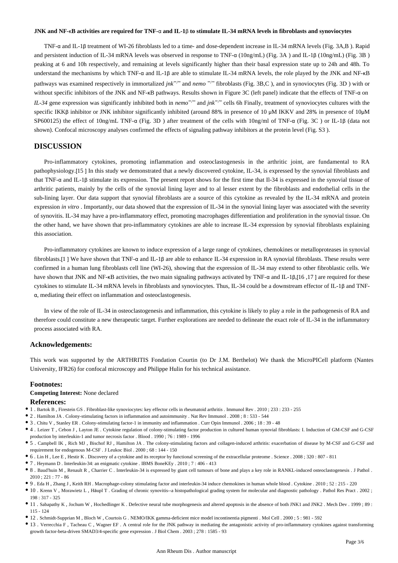#### **JNK and NF-**κ**B activities are required for TNF-**α **and IL-1**β **to stimulate IL-34 mRNA levels in fibroblasts and synoviocytes**

TNF-α and IL-1β treatment of WI-26 fibroblasts led to a time- and dose-dependent increase in IL-34 mRNA levels (Fig. 3A,B ). Rapid and persistent induction of IL-34 mRNA levels was observed in response to TNF-α (10ng/mL) (Fig. 3A ) and IL-1β (10ng/mL) (Fig. 3B ) peaking at 6 and 10h respectively, and remaining at levels significantly higher than their basal expression state up to 24h and 48h. To understand the mechanisms by which TNF-α and IL-1β are able to stimulate IL-34 mRNA levels, the role played by the JNK and NF-κB pathways was examined respectively in immortalized *jnk<sup>-/-</sup>* and *nemo*<sup>-/-</sup> fibroblasts (Fig. 3B,C), and in synoviocytes (Fig. 3D) with or without specific inhibitors of the JNK and NF-κB pathways. Results shown in Figure 3C (left panel) indicate that the effects of TNF-α on *IL-34* gene expression was significantly inhibited both in *nemo*<sup>−/−</sup> and *jnk<sup>−/−</sup>* cells 6h Finally, treatment of synoviocytes cultures with the specific IKKβ inhibitor or JNK inhibitor significantly inhibited (around 88% in presence of 10 μM IKKV and 28% in presence of 10μM SP600125) the effect of 10ng/mL TNF-α (Fig. 3D ) after treatment of the cells with 10ng/ml of TNF-α (Fig. 3C ) or IL-1β (data not shown). Confocal microscopy analyses confirmed the effects of signaling pathway inhibitors at the protein level (Fig. S3 ).

## **DISCUSSION**

Pro-inflammatory cytokines, promoting inflammation and osteoclastogenesis in the arthritic joint, are fundamental to RA pathophysiology.[15 ] In this study we demonstrated that a newly discovered cytokine, IL-34, is expressed by the synovial fibroblasts and that TNF-α and IL-1β stimulate its expression. The present report shows for the first time that Il-34 is expressed in the synovial tissue of arthritic patients, mainly by the cells of the synovial lining layer and to al lesser extent by the fibroblasts and endothelial cells in the sub-lining layer. Our data support that synovial fibroblasts are a source of this cytokine as revealed by the IL-34 mRNA and protein expression *in vitro*. Importantly, our data showed that the expression of IL-34 in the synovial lining layer was associated with the severity of synovitis. IL-34 may have a pro-inflammatory effect, promoting macrophages differentiation and proliferation in the synovial tissue. On the other hand, we have shown that pro-inflammatory cytokines are able to increase IL-34 expression by synovial fibroblasts explaining this association.

Pro-inflammatory cytokines are known to induce expression of a large range of cytokines, chemokines or metalloproteases in synovial fibroblasts.[1 ] We have shown that TNF-α and IL-1β are able to enhance IL-34 expression in RA synovial fibroblasts. These results were confirmed in a human lung fibroblasts cell line (WI-26), showing that the expression of IL-34 may extend to other fibroblastic cells. We have shown that JNK and NF-κB activities, the two main signaling pathways activated by TNF-α and IL-1β,[16,17] are required for these cytokines to stimulate IL-34 mRNA levels in fibroblasts and synoviocytes. Thus, IL-34 could be a downstream effector of IL-1β and TNFα, mediating their effect on inflammation and osteoclastogenesis.

In view of the role of IL-34 in osteoclastogenesis and inflammation, this cytokine is likely to play a role in the pathogenesis of RA and therefore could constitute a new therapeutic target. Further explorations are needed to delineate the exact role of IL-34 in the inflammatory process associated with RA.

## **Acknowledgements:**

This work was supported by the ARTHRITIS Fondation Courtin (to Dr J.M. Berthelot) We thank the MicroPICell platform (Nantes University, IFR26) for confocal microscopy and Philippe Hulin for his technical assistance.

## **Footnotes:**

## **Competing Interest:** None declared

## **References:**

- 1 . Bartok B , Firestein GS . Fibroblast-like synoviocytes: key effector cells in rheumatoid arthritis . Immunol Rev . 2010 ; 233 : 233 255
- 2 . Hamilton JA . Colony-stimulating factors in inflammation and autoimmunity . Nat Rev Immunol . 2008 ; 8 : 533 544
- 3 . Chitu V , Stanley ER . Colony-stimulating factor-1 in immunity and inflammation . Curr Opin Immunol . 2006 ; 18 : 39 48
- 4 . Leizer T , Cebon J , Layton JE . Cytokine regulation of colony-stimulating factor production in cultured human synovial fibroblasts: I. Induction of GM-CSF and G-CSF production by interleukin-1 and tumor necrosis factor . Blood . 1990 ; 76 : 1989 - 1996
- 5 . Campbell IK , Rich MJ , Bischof RJ , Hamilton JA . The colony-stimulating factors and collagen-induced arthritis: exacerbation of disease by M-CSF and G-CSF and requirement for endogenous M-CSF . J Leukoc Biol . 2000 ; 68 : 144 - 150
- 6 . Lin H , Lee E , Hestir K . Discovery of a cytokine and its receptor by functional screening of the extracellular proteome . Science . 2008 ; 320 : 807 811
- 7 . Heymann D . Interleukin-34: an enigmatic cytokine . IBMS BoneKEy . 2010 ; 7 : 406 413
- 8 . Baud'huin M , Renault R , Charrier C . Interleukin-34 is expressed by giant cell tumours of bone and plays a key role in RANKL-induced osteoclastogenesis . J Pathol . 2010 ; 221 : 77 - 86
- 9 . Eda H , Zhang J , Keith RH . Macrophage-colony stimulating factor and interleukin-34 induce chemokines in human whole blood . Cytokine . 2010 ; 52 : 215 220
- 10 . Krenn V , Morawietz L , Häupl T . Grading of chronic synovitis--a histopathological grading system for molecular and diagnostic pathology . Pathol Res Pract . 2002 ; 198 : 317 - 325
- 11 . Sabapathy K , Jochum W , Hochedlinger K . Defective neural tube morphogenesis and altered apoptosis in the absence of both JNK1 and JNK2 . Mech Dev . 1999 ; 89 : 115 - 124
- 12 . Schmidt-Supprian M , Bloch W , Courtois G . NEMO/IKK gamma-deficient mice model incontinentia pigmenti . Mol Cell . 2000 ; 5 : 981 592
- 13 . Verrecchia F , Tacheau C , Wagner EF . A central role for the JNK pathway in mediating the antagonistic activity of pro-inflammatory cytokines against transforming growth factor-beta-driven SMAD3/4-specific gene expression . J Biol Chem . 2003 ; 278 : 1585 - 93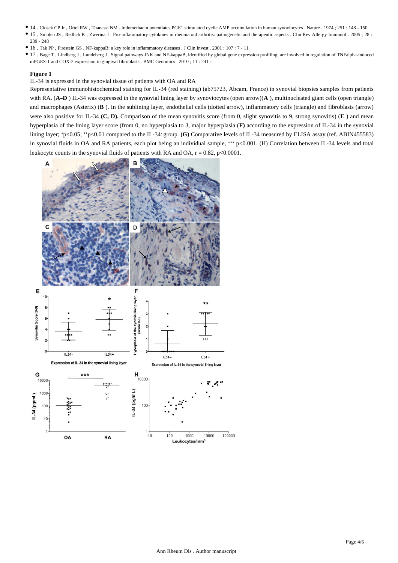- 14 . Ciosek CP Jr , Ortel RW , Thanassi NM . Indomethacin potentiates PGE1 stimulated cyclic AMP accumulation in human synoviocytes . Nature . 1974 ; 251 : 148 150
- 15 . Smolen JS , Redlich K , Zwerina J . Pro-inflammatory cytokines in rheumatoid arthritis: pathogenetic and therapeutic aspects . Clin Rev Allergy Immunol . 2005 ; 28 : 239 - 248
- 16 . Tak PP , Firestein GS . NF-kappaB: a key role in inflammatory diseases . J Clin Invest . 2001 ; 107 : 7 11
- 17 . Bage T , Lindberg J , Lundeberg J . Signal pathways JNK and NF-kappaB, identified by global gene expression profiling, are involved in regulation of TNFalpha-induced mPGES-1 and COX-2 expression in gingival fibroblasts . BMC Genomics . 2010 ; 11 : 241 -

## **Figure 1**

IL-34 is expressed in the synovial tissue of patients with OA and RA

Representative immunohistochemical staining for IL-34 (red staining) (ab75723, Abcam, France) in synovial biopsies samples from patients with RA. (A–D) IL-34 was expressed in the synovial lining layer by synoviocytes (open arrow)(A), multinucleated giant cells (open triangle) and macrophages (Asterix) (**B** ). In the sublining layer, endothelial cells (dotted arrow), inflammatory cells (triangle) and fibroblasts (arrow) were also positive for IL-34 **(C, D).** Comparison of the mean synovitis score (from 0, slight synovitis to 9, strong synovitis) (**E**) and mean hyperplasia of the lining layer score (from 0, no hyperplasia to 3, major hyperplasia (**F)** according to the expression of IL-34 in the synovial lining layer;  $*p<0.05$ ;  $*p<0.01$  compared to the IL-34 group. (G) Comparative levels of IL-34 measured by ELISA assay (ref. ABIN455583) in synovial fluids in OA and RA patients, each plot being an individual sample, \*\*\* p<0.001. (H) Correlation between IL-34 levels and total leukocyte counts in the synovial fluids of patients with RA and OA,  $r = 0.82$ ,  $p < 0.0001$ .

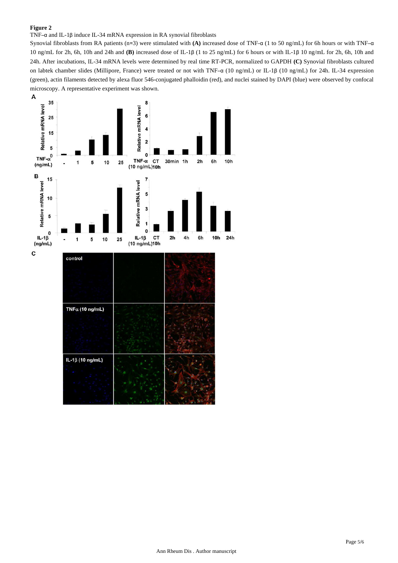## **Figure 2**

## TNF–α and IL-1β induce IL-34 mRNA expression in RA synovial fibroblasts

Synovial fibroblasts from RA patients (n=3) were stimulated with **(A)** increased dose of TNF-α (1 to 50 ng/mL) for 6h hours or with TNF–α 10 ng/mL for 2h, 6h, 10h and 24h and **(B)** increased dose of IL-1β (1 to 25 ng/mL) for 6 hours or with IL-1β 10 ng/mL for 2h, 6h, 10h and 24h. After incubations, IL-34 mRNA levels were determined by real time RT-PCR, normalized to GAPDH **(C)** Synovial fibroblasts cultured on labtek chamber slides (Millipore, France) were treated or not with TNF–α (10 ng/mL) or IL-1β (10 ng/mL) for 24h. IL-34 expression (green), actin filaments detected by alexa fluor 546-conjugated phalloidin (red), and nuclei stained by DAPI (blue) were observed by confocal microscopy. A representative experiment was shown.